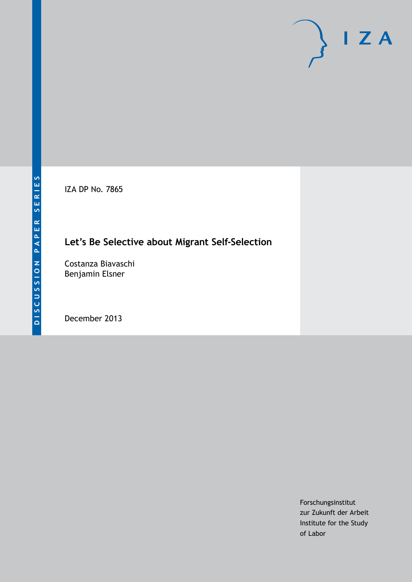IZA DP No. 7865

## **Let's Be Selective about Migrant Self-Selection**

Costanza Biavaschi Benjamin Elsner

December 2013

Forschungsinstitut zur Zukunft der Arbeit Institute for the Study of Labor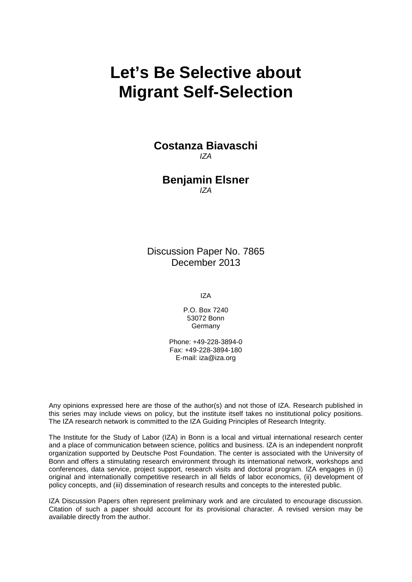# **Let's Be Selective about Migrant Self-Selection**

## **Costanza Biavaschi** *IZA*

### **Benjamin Elsner** *IZA*

Discussion Paper No. 7865 December 2013

IZA

P.O. Box 7240 53072 Bonn Germany

Phone: +49-228-3894-0 Fax: +49-228-3894-180 E-mail: [iza@iza.org](mailto:iza@iza.org)

Any opinions expressed here are those of the author(s) and not those of IZA. Research published in this series may include views on policy, but the institute itself takes no institutional policy positions. The IZA research network is committed to the IZA Guiding Principles of Research Integrity.

The Institute for the Study of Labor (IZA) in Bonn is a local and virtual international research center and a place of communication between science, politics and business. IZA is an independent nonprofit organization supported by Deutsche Post Foundation. The center is associated with the University of Bonn and offers a stimulating research environment through its international network, workshops and conferences, data service, project support, research visits and doctoral program. IZA engages in (i) original and internationally competitive research in all fields of labor economics, (ii) development of policy concepts, and (iii) dissemination of research results and concepts to the interested public.

<span id="page-1-0"></span>IZA Discussion Papers often represent preliminary work and are circulated to encourage discussion. Citation of such a paper should account for its provisional character. A revised version may be available directly from the author.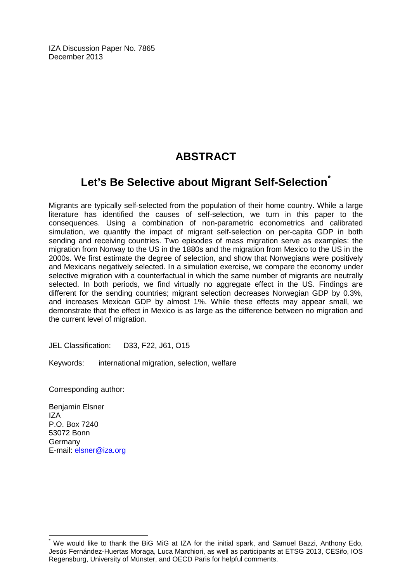IZA Discussion Paper No. 7865 December 2013

## **ABSTRACT**

## **Let's Be Selective about Migrant Self-Selection[\\*](#page-1-0)**

Migrants are typically self-selected from the population of their home country. While a large literature has identified the causes of self-selection, we turn in this paper to the consequences. Using a combination of non-parametric econometrics and calibrated simulation, we quantify the impact of migrant self-selection on per-capita GDP in both sending and receiving countries. Two episodes of mass migration serve as examples: the migration from Norway to the US in the 1880s and the migration from Mexico to the US in the 2000s. We first estimate the degree of selection, and show that Norwegians were positively and Mexicans negatively selected. In a simulation exercise, we compare the economy under selective migration with a counterfactual in which the same number of migrants are neutrally selected. In both periods, we find virtually no aggregate effect in the US. Findings are different for the sending countries; migrant selection decreases Norwegian GDP by 0.3%, and increases Mexican GDP by almost 1%. While these effects may appear small, we demonstrate that the effect in Mexico is as large as the difference between no migration and the current level of migration.

JEL Classification: D33, F22, J61, O15

Keywords: international migration, selection, welfare

Corresponding author:

Benjamin Elsner IZA P.O. Box 7240 53072 Bonn Germany E-mail: [elsner@iza.org](mailto:elsner@iza.org)

We would like to thank the BiG MiG at IZA for the initial spark, and Samuel Bazzi, Anthony Edo. Jesús Fernández-Huertas Moraga, Luca Marchiori, as well as participants at ETSG 2013, CESifo, IOS Regensburg, University of Münster, and OECD Paris for helpful comments.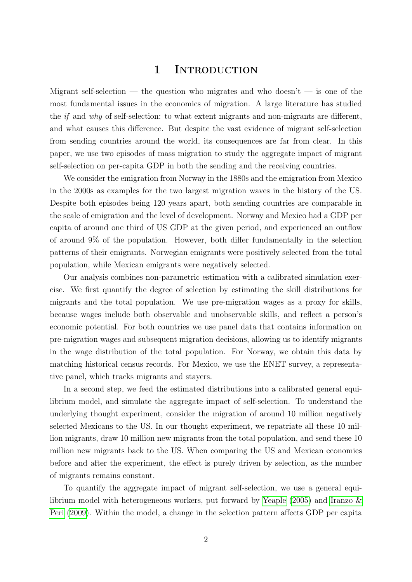## 1 INTRODUCTION

Migrant self-selection — the question who migrates and who doesn't — is one of the most fundamental issues in the economics of migration. A large literature has studied the if and why of self-selection: to what extent migrants and non-migrants are different, and what causes this difference. But despite the vast evidence of migrant self-selection from sending countries around the world, its consequences are far from clear. In this paper, we use two episodes of mass migration to study the aggregate impact of migrant self-selection on per-capita GDP in both the sending and the receiving countries.

We consider the emigration from Norway in the 1880s and the emigration from Mexico in the 2000s as examples for the two largest migration waves in the history of the US. Despite both episodes being 120 years apart, both sending countries are comparable in the scale of emigration and the level of development. Norway and Mexico had a GDP per capita of around one third of US GDP at the given period, and experienced an outflow of around 9% of the population. However, both differ fundamentally in the selection patterns of their emigrants. Norwegian emigrants were positively selected from the total population, while Mexican emigrants were negatively selected.

Our analysis combines non-parametric estimation with a calibrated simulation exercise. We first quantify the degree of selection by estimating the skill distributions for migrants and the total population. We use pre-migration wages as a proxy for skills, because wages include both observable and unobservable skills, and reflect a person's economic potential. For both countries we use panel data that contains information on pre-migration wages and subsequent migration decisions, allowing us to identify migrants in the wage distribution of the total population. For Norway, we obtain this data by matching historical census records. For Mexico, we use the ENET survey, a representative panel, which tracks migrants and stayers.

In a second step, we feed the estimated distributions into a calibrated general equilibrium model, and simulate the aggregate impact of self-selection. To understand the underlying thought experiment, consider the migration of around 10 million negatively selected Mexicans to the US. In our thought experiment, we repatriate all these 10 million migrants, draw 10 million new migrants from the total population, and send these 10 million new migrants back to the US. When comparing the US and Mexican economies before and after the experiment, the effect is purely driven by selection, as the number of migrants remains constant.

To quantify the aggregate impact of migrant self-selection, we use a general equilibrium model with heterogeneous workers, put forward by [Yeaple](#page-33-0) [\(2005\)](#page-33-0) and [Iranzo &](#page-31-0) [Peri](#page-31-0) [\(2009\)](#page-31-0). Within the model, a change in the selection pattern affects GDP per capita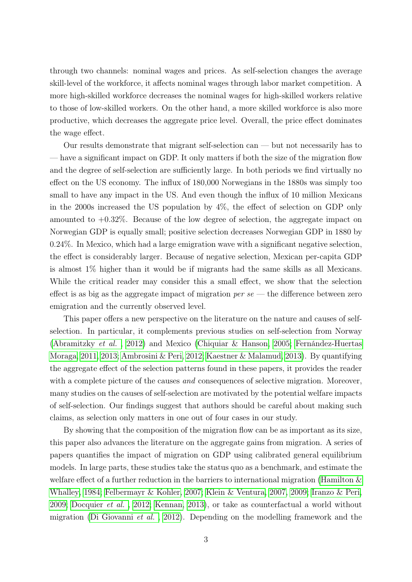through two channels: nominal wages and prices. As self-selection changes the average skill-level of the workforce, it affects nominal wages through labor market competition. A more high-skilled workforce decreases the nominal wages for high-skilled workers relative to those of low-skilled workers. On the other hand, a more skilled workforce is also more productive, which decreases the aggregate price level. Overall, the price effect dominates the wage effect.

Our results demonstrate that migrant self-selection can — but not necessarily has to — have a significant impact on GDP. It only matters if both the size of the migration flow and the degree of self-selection are sufficiently large. In both periods we find virtually no effect on the US economy. The influx of 180,000 Norwegians in the 1880s was simply too small to have any impact in the US. And even though the influx of 10 million Mexicans in the 2000s increased the US population by 4%, the effect of selection on GDP only amounted to  $+0.32\%$ . Because of the low degree of selection, the aggregate impact on Norwegian GDP is equally small; positive selection decreases Norwegian GDP in 1880 by 0.24%. In Mexico, which had a large emigration wave with a significant negative selection, the effect is considerably larger. Because of negative selection, Mexican per-capita GDP is almost 1% higher than it would be if migrants had the same skills as all Mexicans. While the critical reader may consider this a small effect, we show that the selection effect is as big as the aggregate impact of migration  $per$  se — the difference between zero emigration and the currently observed level.

This paper offers a new perspective on the literature on the nature and causes of selfselection. In particular, it complements previous studies on self-selection from Norway [\(Abramitzky](#page-29-0) et al. , [2012\)](#page-29-0) and Mexico [\(Chiquiar & Hanson, 2005;](#page-30-0) [Fernández-Huertas](#page-31-1) [Moraga, 2011,](#page-31-1) [2013;](#page-31-2) [Ambrosini & Peri, 2012;](#page-29-1) [Kaestner & Malamud, 2013\)](#page-32-0). By quantifying the aggregate effect of the selection patterns found in these papers, it provides the reader with a complete picture of the causes *and* consequences of selective migration. Moreover, many studies on the causes of self-selection are motivated by the potential welfare impacts of self-selection. Our findings suggest that authors should be careful about making such claims, as selection only matters in one out of four cases in our study.

By showing that the composition of the migration flow can be as important as its size, this paper also advances the literature on the aggregate gains from migration. A series of papers quantifies the impact of migration on GDP using calibrated general equilibrium models. In large parts, these studies take the status quo as a benchmark, and estimate the welfare effect of a further reduction in the barriers to international migration [\(Hamilton &](#page-31-3) [Whalley, 1984;](#page-31-3) [Felbermayr & Kohler, 2007;](#page-31-4) [Klein & Ventura, 2007,](#page-32-1) [2009;](#page-32-2) [Iranzo & Peri,](#page-31-0) [2009;](#page-31-0) [Docquier](#page-30-1) et al. , [2012;](#page-30-1) [Kennan, 2013\)](#page-32-3), or take as counterfactual a world without migration [\(Di Giovanni](#page-30-2) et al. , [2012\)](#page-30-2). Depending on the modelling framework and the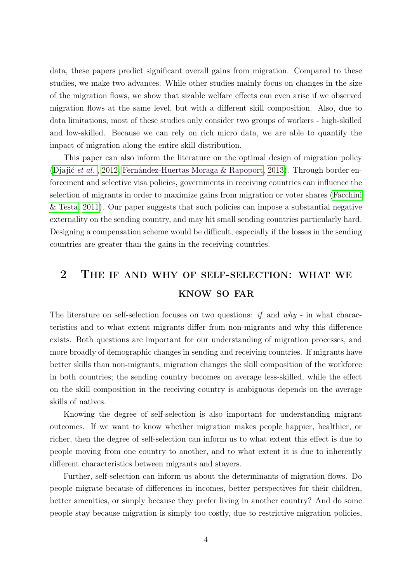data, these papers predict significant overall gains from migration. Compared to these studies, we make two advances. While other studies mainly focus on changes in the size of the migration flows, we show that sizable welfare effects can even arise if we observed migration flows at the same level, but with a different skill composition. Also, due to data limitations, most of these studies only consider two groups of workers - high-skilled and low-skilled. Because we can rely on rich micro data, we are able to quantify the impact of migration along the entire skill distribution.

This paper can also inform the literature on the optimal design of migration policy [\(Djajić](#page-30-3) et al. , [2012;](#page-30-3) [Fernández-Huertas Moraga & Rapoport, 2013\)](#page-31-5). Through border enforcement and selective visa policies, governments in receiving countries can influence the selection of migrants in order to maximize gains from migration or voter shares [\(Facchini](#page-31-6) [& Testa, 2011\)](#page-31-6). Our paper suggests that such policies can impose a substantial negative externality on the sending country, and may hit small sending countries particularly hard. Designing a compensation scheme would be difficult, especially if the losses in the sending countries are greater than the gains in the receiving countries.

## 2 The if and why of self-selection: what we know so far

The literature on self-selection focuses on two questions: if and  $why$  - in what characteristics and to what extent migrants differ from non-migrants and why this difference exists. Both questions are important for our understanding of migration processes, and more broadly of demographic changes in sending and receiving countries. If migrants have better skills than non-migrants, migration changes the skill composition of the workforce in both countries; the sending country becomes on average less-skilled, while the effect on the skill composition in the receiving country is ambiguous depends on the average skills of natives.

Knowing the degree of self-selection is also important for understanding migrant outcomes. If we want to know whether migration makes people happier, healthier, or richer, then the degree of self-selection can inform us to what extent this effect is due to people moving from one country to another, and to what extent it is due to inherently different characteristics between migrants and stayers.

Further, self-selection can inform us about the determinants of migration flows. Do people migrate because of differences in incomes, better perspectives for their children, better amenities, or simply because they prefer living in another country? And do some people stay because migration is simply too costly, due to restrictive migration policies,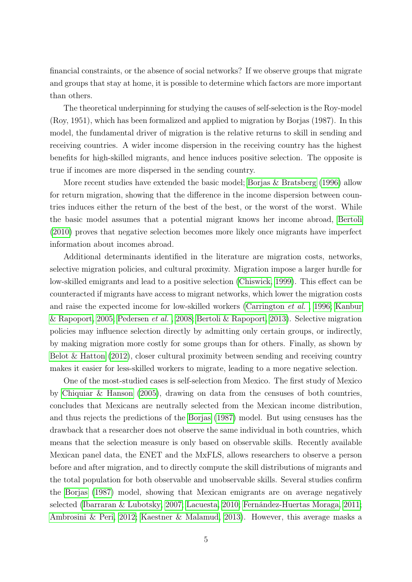financial constraints, or the absence of social networks? If we observe groups that migrate and groups that stay at home, it is possible to determine which factors are more important than others.

The theoretical underpinning for studying the causes of self-selection is the Roy-model (Roy, 1951), which has been formalized and applied to migration by Borjas (1987). In this model, the fundamental driver of migration is the relative returns to skill in sending and receiving countries. A wider income dispersion in the receiving country has the highest benefits for high-skilled migrants, and hence induces positive selection. The opposite is true if incomes are more dispersed in the sending country.

More recent studies have extended the basic model; [Borjas & Bratsberg](#page-29-2) [\(1996\)](#page-29-2) allow for return migration, showing that the difference in the income dispersion between countries induces either the return of the best of the best, or the worst of the worst. While the basic model assumes that a potential migrant knows her income abroad, [Bertoli](#page-29-3) [\(2010\)](#page-29-3) proves that negative selection becomes more likely once migrants have imperfect information about incomes abroad.

Additional determinants identified in the literature are migration costs, networks, selective migration policies, and cultural proximity. Migration impose a larger hurdle for low-skilled emigrants and lead to a positive selection [\(Chiswick, 1999\)](#page-30-4). This effect can be counteracted if migrants have access to migrant networks, which lower the migration costs and raise the expected income for low-skilled workers [\(Carrington](#page-30-5) et al. , [1996;](#page-30-5) [Kanbur](#page-32-4) [& Rapoport, 2005;](#page-32-4) [Pedersen](#page-32-5) et al. , [2008;](#page-32-5) [Bertoli & Rapoport, 2013\)](#page-29-4). Selective migration policies may influence selection directly by admitting only certain groups, or indirectly, by making migration more costly for some groups than for others. Finally, as shown by [Belot & Hatton](#page-29-5)  $(2012)$ , closer cultural proximity between sending and receiving country makes it easier for less-skilled workers to migrate, leading to a more negative selection.

One of the most-studied cases is self-selection from Mexico. The first study of Mexico by [Chiquiar & Hanson](#page-30-0) [\(2005\)](#page-30-0), drawing on data from the censuses of both countries, concludes that Mexicans are neutrally selected from the Mexican income distribution, and thus rejects the predictions of the [Borjas](#page-29-6) [\(1987\)](#page-29-6) model. But using censuses has the drawback that a researcher does not observe the same individual in both countries, which means that the selection measure is only based on observable skills. Recently available Mexican panel data, the ENET and the MxFLS, allows researchers to observe a person before and after migration, and to directly compute the skill distributions of migrants and the total population for both observable and unobservable skills. Several studies confirm the [Borjas](#page-29-6) [\(1987\)](#page-29-6) model, showing that Mexican emigrants are on average negatively selected [\(Ibarraran & Lubotsky, 2007;](#page-31-7) [Lacuesta, 2010;](#page-32-6) [Fernández-Huertas Moraga, 2011;](#page-31-1) [Ambrosini & Peri, 2012;](#page-29-1) [Kaestner & Malamud, 2013\)](#page-32-0). However, this average masks a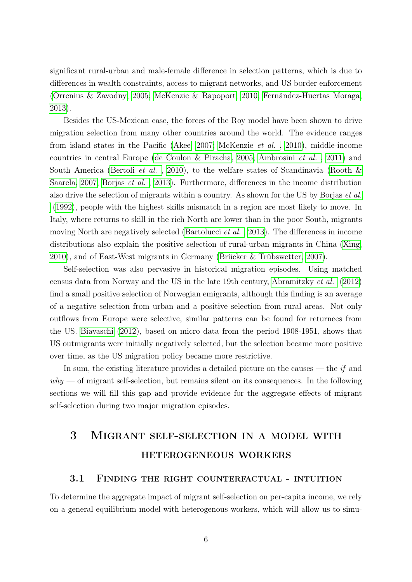significant rural-urban and male-female difference in selection patterns, which is due to differences in wealth constraints, access to migrant networks, and US border enforcement [\(Orrenius & Zavodny, 2005;](#page-32-7) [McKenzie & Rapoport, 2010;](#page-32-8) [Fernández-Huertas Moraga,](#page-31-2) [2013\)](#page-31-2).

Besides the US-Mexican case, the forces of the Roy model have been shown to drive migration selection from many other countries around the world. The evidence ranges from island states in the Pacific [\(Akee, 2007;](#page-29-7) [McKenzie](#page-32-9) et al. , [2010\)](#page-32-9), middle-income countries in central Europe [\(de Coulon & Piracha, 2005;](#page-30-6) [Ambrosini](#page-29-8) et al. , [2011\)](#page-29-8) and South America [\(Bertoli](#page-29-9) *et al.*, [2010\)](#page-29-9), to the welfare states of Scandinavia (Rooth  $\&$ [Saarela, 2007;](#page-33-1) [Borjas](#page-30-7) et al. , [2013\)](#page-30-7). Furthermore, differences in the income distribution also drive the selection of migrants within a country. As shown for the US by [Borjas](#page-30-8) et al. [\(1992\)](#page-30-8), people with the highest skills mismatch in a region are most likely to move. In Italy, where returns to skill in the rich North are lower than in the poor South, migrants moving North are negatively selected [\(Bartolucci](#page-29-10) et al. , [2013\)](#page-29-10). The differences in income distributions also explain the positive selection of rural-urban migrants in China [\(Xing,](#page-33-2) [2010\)](#page-33-2), and of East-West migrants in Germany [\(Brücker & Trübswetter, 2007\)](#page-30-9).

Self-selection was also pervasive in historical migration episodes. Using matched census data from Norway and the US in the late 19th century, [Abramitzky](#page-29-0) et al. [\(2012\)](#page-29-0) find a small positive selection of Norwegian emigrants, although this finding is an average of a negative selection from urban and a positive selection from rural areas. Not only outflows from Europe were selective, similar patterns can be found for returnees from the US. [Biavaschi](#page-29-11) [\(2012\)](#page-29-11), based on micro data from the period 1908-1951, shows that US outmigrants were initially negatively selected, but the selection became more positive over time, as the US migration policy became more restrictive.

In sum, the existing literature provides a detailed picture on the causes  $-$  the *if* and  $why \sim$  of migrant self-selection, but remains silent on its consequences. In the following sections we will fill this gap and provide evidence for the aggregate effects of migrant self-selection during two major migration episodes.

## <span id="page-7-0"></span>3 Migrant self-selection in a model with heterogeneous workers

#### 3.1 Finding the right counterfactual - intuition

To determine the aggregate impact of migrant self-selection on per-capita income, we rely on a general equilibrium model with heterogenous workers, which will allow us to simu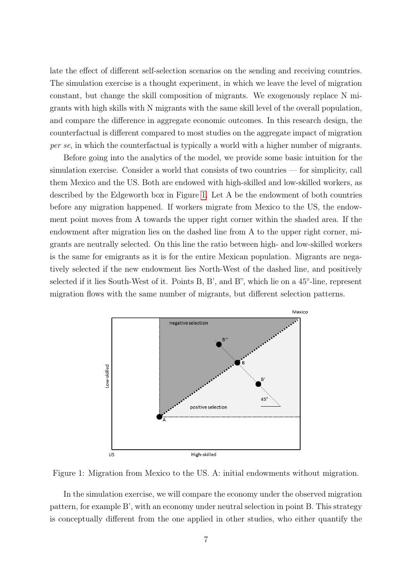late the effect of different self-selection scenarios on the sending and receiving countries. The simulation exercise is a thought experiment, in which we leave the level of migration constant, but change the skill composition of migrants. We exogenously replace N migrants with high skills with N migrants with the same skill level of the overall population, and compare the difference in aggregate economic outcomes. In this research design, the counterfactual is different compared to most studies on the aggregate impact of migration per se, in which the counterfactual is typically a world with a higher number of migrants.

Before going into the analytics of the model, we provide some basic intuition for the simulation exercise. Consider a world that consists of two countries — for simplicity, call them Mexico and the US. Both are endowed with high-skilled and low-skilled workers, as described by the Edgeworth box in Figure [1.](#page-8-0) Let A be the endowment of both countries before any migration happened. If workers migrate from Mexico to the US, the endowment point moves from A towards the upper right corner within the shaded area. If the endowment after migration lies on the dashed line from A to the upper right corner, migrants are neutrally selected. On this line the ratio between high- and low-skilled workers is the same for emigrants as it is for the entire Mexican population. Migrants are negatively selected if the new endowment lies North-West of the dashed line, and positively selected if it lies South-West of it. Points B, B', and B", which lie on a 45<sup>°</sup>-line, represent migration flows with the same number of migrants, but different selection patterns.

<span id="page-8-0"></span>

Figure 1: Migration from Mexico to the US. A: initial endowments without migration.

In the simulation exercise, we will compare the economy under the observed migration pattern, for example B', with an economy under neutral selection in point B. This strategy is conceptually different from the one applied in other studies, who either quantify the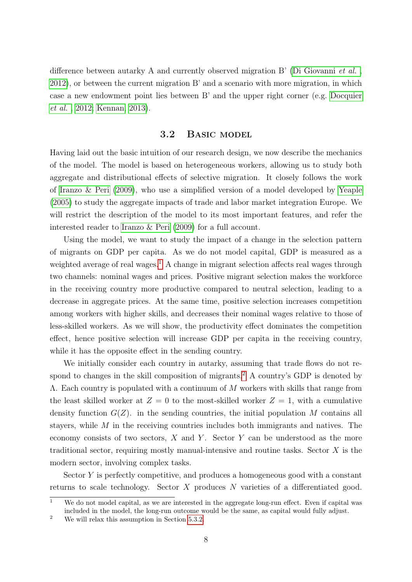difference between autarky A and currently observed migration B' [\(Di Giovanni](#page-30-2) et al., [2012\)](#page-30-2), or between the current migration B' and a scenario with more migration, in which case a new endowment point lies between B' and the upper right corner (e.g. [Docquier](#page-30-1) [et al.](#page-30-1) , [2012;](#page-30-1) [Kennan, 2013\)](#page-32-3).

#### 3.2 Basic model

Having laid out the basic intuition of our research design, we now describe the mechanics of the model. The model is based on heterogeneous workers, allowing us to study both aggregate and distributional effects of selective migration. It closely follows the work of [Iranzo & Peri](#page-31-0) [\(2009\)](#page-31-0), who use a simplified version of a model developed by [Yeaple](#page-33-0) [\(2005\)](#page-33-0) to study the aggregate impacts of trade and labor market integration Europe. We will restrict the description of the model to its most important features, and refer the interested reader to [Iranzo & Peri](#page-31-0) [\(2009\)](#page-31-0) for a full account.

Using the model, we want to study the impact of a change in the selection pattern of migrants on GDP per capita. As we do not model capital, GDP is measured as a weighted average of real wages.<sup>[1](#page-9-0)</sup> A change in migrant selection affects real wages through two channels: nominal wages and prices. Positive migrant selection makes the workforce in the receiving country more productive compared to neutral selection, leading to a decrease in aggregate prices. At the same time, positive selection increases competition among workers with higher skills, and decreases their nominal wages relative to those of less-skilled workers. As we will show, the productivity effect dominates the competition effect, hence positive selection will increase GDP per capita in the receiving country, while it has the opposite effect in the sending country.

We initially consider each country in autarky, assuming that trade flows do not re-spond to changes in the skill composition of migrants.<sup>[2](#page-9-1)</sup> A country's GDP is denoted by Λ. Each country is populated with a continuum of M workers with skills that range from the least skilled worker at  $Z = 0$  to the most-skilled worker  $Z = 1$ , with a cumulative density function  $G(Z)$ , in the sending countries, the initial population M contains all stayers, while M in the receiving countries includes both immigrants and natives. The economy consists of two sectors,  $X$  and  $Y$ . Sector  $Y$  can be understood as the more traditional sector, requiring mostly manual-intensive and routine tasks. Sector  $X$  is the modern sector, involving complex tasks.

Sector Y is perfectly competitive, and produces a homogeneous good with a constant returns to scale technology. Sector X produces N varieties of a differentiated good.

<span id="page-9-0"></span><sup>&</sup>lt;sup>1</sup> We do not model capital, as we are interested in the aggregate long-run effect. Even if capital was included in the model, the long-run outcome would be the same, as capital would fully adjust.

<span id="page-9-1"></span><sup>&</sup>lt;sup>2</sup> We will relax this assumption in Section [5.3.2.](#page-25-0)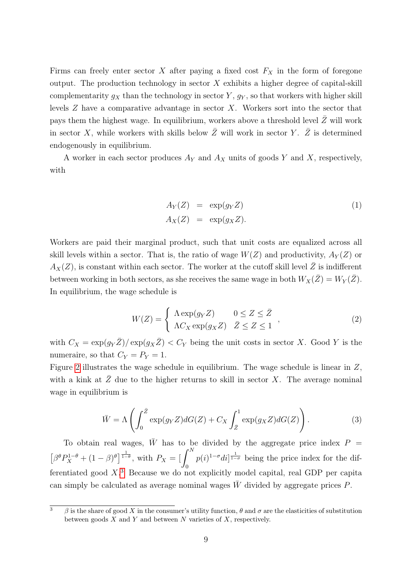Firms can freely enter sector X after paying a fixed cost  $F_X$  in the form of foregone output. The production technology in sector  $X$  exhibits a higher degree of capital-skill complementarity  $g_X$  than the technology in sector Y,  $g_Y$ , so that workers with higher skill levels Z have a comparative advantage in sector X. Workers sort into the sector that pays them the highest wage. In equilibrium, workers above a threshold level  $\overline{Z}$  will work in sector X, while workers with skills below  $\bar{Z}$  will work in sector Y.  $\bar{Z}$  is determined endogenously in equilibrium.

A worker in each sector produces  $A_Y$  and  $A_X$  units of goods Y and X, respectively, with

$$
A_Y(Z) = \exp(g_Y Z)
$$
  
\n
$$
A_X(Z) = \exp(g_X Z).
$$
\n(1)

Workers are paid their marginal product, such that unit costs are equalized across all skill levels within a sector. That is, the ratio of wage  $W(Z)$  and productivity,  $A_V(Z)$  or  $A_X(Z)$ , is constant within each sector. The worker at the cutoff skill level  $\overline{Z}$  is indifferent between working in both sectors, as she receives the same wage in both  $W_X(\bar{Z}) = W_Y(\bar{Z})$ . In equilibrium, the wage schedule is

$$
W(Z) = \begin{cases} \Lambda \exp(g_Y Z) & 0 \le Z \le \bar{Z} \\ \Lambda C_X \exp(g_X Z) & \bar{Z} \le Z \le 1 \end{cases},
$$
\n(2)

with  $C_X = \exp(g_Y \bar{Z})/\exp(g_X \bar{Z}) < C_Y$  being the unit costs in sector X. Good Y is the numeraire, so that  $C_Y = P_Y = 1$ .

Figure [2](#page-11-0) illustrates the wage schedule in equilibrium. The wage schedule is linear in Z, with a kink at  $\bar{Z}$  due to the higher returns to skill in sector X. The average nominal wage in equilibrium is

$$
\bar{W} = \Lambda \left( \int_0^{\bar{Z}} \exp(g_Y Z) dG(Z) + C_X \int_{\bar{Z}}^1 \exp(g_X Z) dG(Z) \right). \tag{3}
$$

To obtain real wages,  $\overline{W}$  has to be divided by the aggregate price index  $P =$  $\left[\beta^{\theta}P_{X}^{1-\theta}+(1-\beta)^{\theta}\right]^{\frac{1}{1-\theta}},$  with  $P_{X}=\left[\int^{N}\right]$  $\mathbf{0}$  $p(i)^{1-\sigma}di|^{\frac{1}{1-\sigma}}$  being the price index for the differentiated good X. [3](#page-10-0) Because we do not explicitly model capital, real GDP per capita can simply be calculated as average nominal wages  $W$  divided by aggregate prices  $P$ .

<span id="page-10-0"></span><sup>&</sup>lt;sup>3</sup> β is the share of good X in the consumer's utility function,  $\theta$  and  $\sigma$  are the elasticities of substitution between goods  $X$  and  $Y$  and between  $N$  varieties of  $X$ , respectively.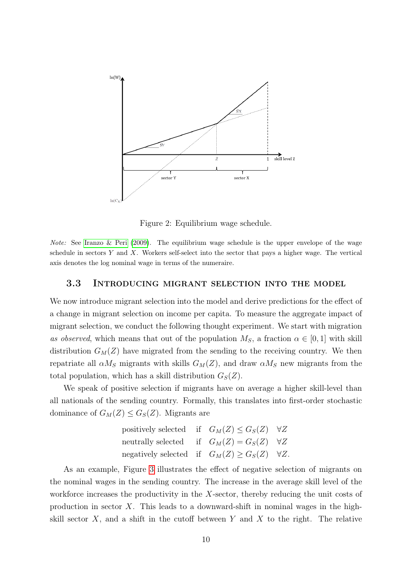<span id="page-11-0"></span>

Figure 2: Equilibrium wage schedule.

*Note:* See Iranzo  $\&$  Peri [\(2009\)](#page-31-0). The equilibrium wage schedule is the upper envelope of the wage schedule in sectors  $Y$  and  $X$ . Workers self-select into the sector that pays a higher wage. The vertical axis denotes the log nominal wage in terms of the numeraire.

#### 3.3 Introducing migrant selection into the model

We now introduce migrant selection into the model and derive predictions for the effect of a change in migrant selection on income per capita. To measure the aggregate impact of migrant selection, we conduct the following thought experiment. We start with migration as observed, which means that out of the population  $M<sub>S</sub>$ , a fraction  $\alpha \in [0,1]$  with skill distribution  $G_M(Z)$  have migrated from the sending to the receiving country. We then repatriate all  $\alpha M_S$  migrants with skills  $G_M(Z)$ , and draw  $\alpha M_S$  new migrants from the total population, which has a skill distribution  $G_S(Z)$ .

We speak of positive selection if migrants have on average a higher skill-level than all nationals of the sending country. Formally, this translates into first-order stochastic dominance of  $G_M(Z) \leq G_S(Z)$ . Migrants are

| positively selected if $G_M(Z) \leq G_S(Z)$ $\forall Z$   |  |  |
|-----------------------------------------------------------|--|--|
| neutrally selected if $G_M(Z) = G_S(Z)$ $\forall Z$       |  |  |
| negatively selected if $G_M(Z) \geq G_S(Z)$ $\forall Z$ . |  |  |

As an example, Figure [3](#page-12-0) illustrates the effect of negative selection of migrants on the nominal wages in the sending country. The increase in the average skill level of the workforce increases the productivity in the  $X$ -sector, thereby reducing the unit costs of production in sector  $X$ . This leads to a downward-shift in nominal wages in the highskill sector  $X$ , and a shift in the cutoff between  $Y$  and  $X$  to the right. The relative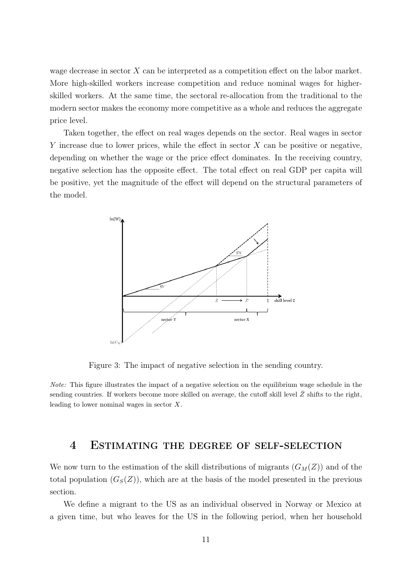wage decrease in sector X can be interpreted as a competition effect on the labor market. More high-skilled workers increase competition and reduce nominal wages for higherskilled workers. At the same time, the sectoral re-allocation from the traditional to the modern sector makes the economy more competitive as a whole and reduces the aggregate price level.

Taken together, the effect on real wages depends on the sector. Real wages in sector Y increase due to lower prices, while the effect in sector  $X$  can be positive or negative, depending on whether the wage or the price effect dominates. In the receiving country, negative selection has the opposite effect. The total effect on real GDP per capita will be positive, yet the magnitude of the effect will depend on the structural parameters of the model.

<span id="page-12-0"></span>

Figure 3: The impact of negative selection in the sending country.

Note: This figure illustrates the impact of a negative selection on the equilibrium wage schedule in the sending countries. If workers become more skilled on average, the cutoff skill level  $Z$  shifts to the right, leading to lower nominal wages in sector X.

#### <span id="page-12-1"></span>4 Estimating the degree of self-selection

We now turn to the estimation of the skill distributions of migrants  $(G_M(Z))$  and of the total population  $(G_S(Z))$ , which are at the basis of the model presented in the previous section.

We define a migrant to the US as an individual observed in Norway or Mexico at a given time, but who leaves for the US in the following period, when her household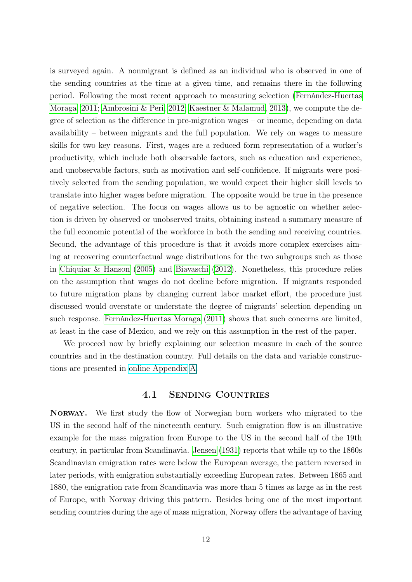is surveyed again. A nonmigrant is defined as an individual who is observed in one of the sending countries at the time at a given time, and remains there in the following period. Following the most recent approach to measuring selection [\(Fernández-Huertas](#page-31-1) [Moraga, 2011;](#page-31-1) [Ambrosini & Peri, 2012;](#page-29-1) [Kaestner & Malamud, 2013\)](#page-32-0), we compute the degree of selection as the difference in pre-migration wages – or income, depending on data availability – between migrants and the full population. We rely on wages to measure skills for two key reasons. First, wages are a reduced form representation of a worker's productivity, which include both observable factors, such as education and experience, and unobservable factors, such as motivation and self-confidence. If migrants were positively selected from the sending population, we would expect their higher skill levels to translate into higher wages before migration. The opposite would be true in the presence of negative selection. The focus on wages allows us to be agnostic on whether selection is driven by observed or unobserved traits, obtaining instead a summary measure of the full economic potential of the workforce in both the sending and receiving countries. Second, the advantage of this procedure is that it avoids more complex exercises aiming at recovering counterfactual wage distributions for the two subgroups such as those in [Chiquiar & Hanson](#page-30-0) [\(2005\)](#page-30-0) and [Biavaschi](#page-29-11) [\(2012\)](#page-29-11). Nonetheless, this procedure relies on the assumption that wages do not decline before migration. If migrants responded to future migration plans by changing current labor market effort, the procedure just discussed would overstate or understate the degree of migrants' selection depending on such response. [Fernández-Huertas Moraga](#page-31-1) [\(2011\)](#page-31-1) shows that such concerns are limited, at least in the case of Mexico, and we rely on this assumption in the rest of the paper.

We proceed now by briefly explaining our selection measure in each of the source countries and in the destination country. Full details on the data and variable constructions are presented in [online Appendix](https://www.dropbox.com/s/beoamb7jzc5p31t/appendix.pdf) A.

#### 4.1 Sending Countries

Norway. We first study the flow of Norwegian born workers who migrated to the US in the second half of the nineteenth century. Such emigration flow is an illustrative example for the mass migration from Europe to the US in the second half of the 19th century, in particular from Scandinavia. [Jensen](#page-31-8) [\(1931\)](#page-31-8) reports that while up to the 1860s Scandinavian emigration rates were below the European average, the pattern reversed in later periods, with emigration substantially exceeding European rates. Between 1865 and 1880, the emigration rate from Scandinavia was more than 5 times as large as in the rest of Europe, with Norway driving this pattern. Besides being one of the most important sending countries during the age of mass migration, Norway offers the advantage of having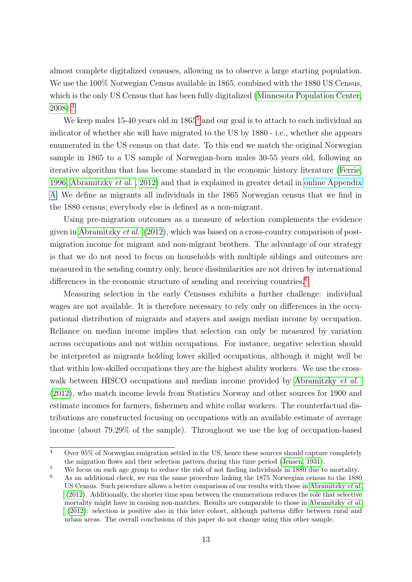almost complete digitalized censuses, allowing us to observe a large starting population. We use the 100% Norwegian Census available in 1865, combined with the 1880 US Census, which is the only US Census that has been fully digitalized [\(Minnesota Population Center,](#page-32-10) [2008\)](#page-32-10).[4](#page-14-0)

We keep males 1[5](#page-14-1)-40 years old in 1865<sup>5</sup> and our goal is to attach to each individual an indicator of whether she will have migrated to the US by 1880 - i.e., whether she appears enumerated in the US census on that date. To this end we match the original Norwegian sample in 1865 to a US sample of Norwegian-born males 30-55 years old, following an iterative algorithm that has become standard in the economic history literature [\(Ferrie,](#page-31-9) [1996;](#page-31-9) [Abramitzky](#page-29-0) et al. , [2012\)](#page-29-0) and that is explained in greater detail in [online Appendix](https://www.dropbox.com/s/beoamb7jzc5p31t/appendix.pdf) A. We define as migrants all individuals in the 1865 Norwegian census that we find in the 1880 census; everybody else is defined as a non-migrant.

Using pre-migration outcomes as a measure of selection complements the evidence given in [Abramitzky](#page-29-0) *et al.* [\(2012\)](#page-29-0), which was based on a cross-country comparison of postmigration income for migrant and non-migrant brothers. The advantage of our strategy is that we do not need to focus on households with multiple siblings and outcomes are measured in the sending country only, hence dissimilarities are not driven by international differences in the economic structure of sending and receiving countries.<sup>[6](#page-14-2)</sup>

Measuring selection in the early Censuses exhibits a further challenge: individual wages are not available. It is therefore necessary to rely only on differences in the occupational distribution of migrants and stayers and assign median income by occupation. Reliance on median income implies that selection can only be measured by variation across occupations and not within occupations. For instance, negative selection should be interpreted as migrants holding lower skilled occupations, although it might well be that within low-skilled occupations they are the highest ability workers. We use the cross-walk between HISCO occupations and median income provided by [Abramitzky](#page-29-0) et al. [\(2012\)](#page-29-0), who match income levels from Statistics Norway and other sources for 1900 and estimate incomes for farmers, fishermen and white collar workers. The counterfactual distributions are constructed focusing on occupations with an available estimate of average income (about 79.29% of the sample). Throughout we use the log of occupation-based

<span id="page-14-0"></span> $\frac{4}{4}$  Over 95% of Norwegian emigration settled in the US, hence these sources should capture completely the migration flows and their selection pattern during this time period [\(Jensen, 1931\)](#page-31-8).

<span id="page-14-2"></span><span id="page-14-1"></span><sup>&</sup>lt;sup>5</sup> We focus on such age group to reduce the risk of not finding individuals in 1880 due to mortality. <sup>6</sup> As an additional check, we run the same procedure linking the 1875 Norwegian census to the 1880 US Census. Such procedure allows a better comparison of our results with those in [Abramitzky](#page-29-0) et al. [\(2012\)](#page-29-0). Additionally, the shorter time span between the enumerations reduces the role that selective mortality might have in causing non-matches. Results are comparable to those in [Abramitzky](#page-29-0) et al. [\(2012\)](#page-29-0): selection is positive also in this later cohort, although patterns differ between rural and urban areas. The overall conclusions of this paper do not change using this other sample.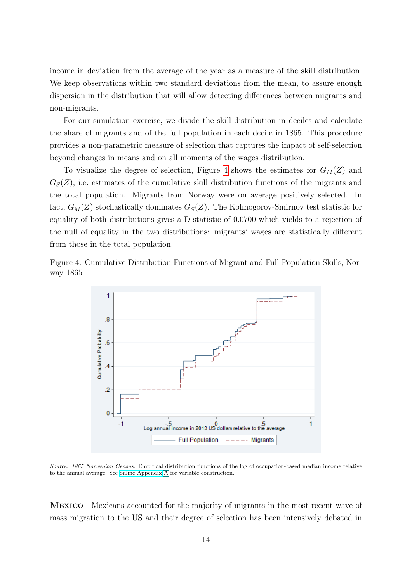income in deviation from the average of the year as a measure of the skill distribution. We keep observations within two standard deviations from the mean, to assure enough dispersion in the distribution that will allow detecting differences between migrants and non-migrants.

For our simulation exercise, we divide the skill distribution in deciles and calculate the share of migrants and of the full population in each decile in 1865. This procedure provides a non-parametric measure of selection that captures the impact of self-selection beyond changes in means and on all moments of the wages distribution.

To visualize the degree of selection, Figure [4](#page-15-0) shows the estimates for  $G_M(Z)$  and  $G<sub>S</sub>(Z)$ , i.e. estimates of the cumulative skill distribution functions of the migrants and the total population. Migrants from Norway were on average positively selected. In fact,  $G_M(Z)$  stochastically dominates  $G_S(Z)$ . The Kolmogorov-Smirnov test statistic for equality of both distributions gives a D-statistic of 0.0700 which yields to a rejection of the null of equality in the two distributions: migrants' wages are statistically different from those in the total population.

<span id="page-15-0"></span>Figure 4: Cumulative Distribution Functions of Migrant and Full Population Skills, Norway 1865



Source: 1865 Norwegian Census. Empirical distribution functions of the log of occupation-based median income relative to the annual average. See [online Appendix](https://www.dropbox.com/s/beoamb7jzc5p31t/appendix.pdf) A for variable construction.

Mexico Mexicans accounted for the majority of migrants in the most recent wave of mass migration to the US and their degree of selection has been intensively debated in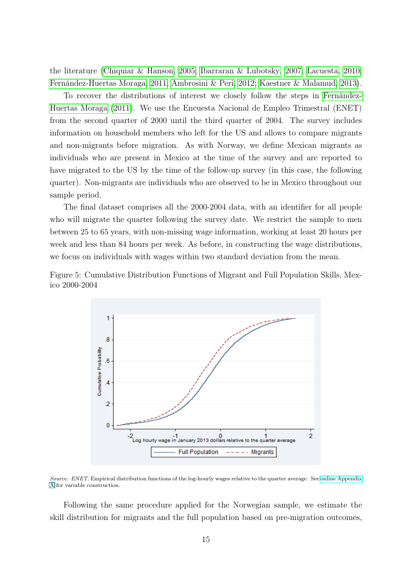the literature [\(Chiquiar & Hanson, 2005;](#page-30-0) [Ibarraran & Lubotsky, 2007;](#page-31-7) [Lacuesta, 2010;](#page-32-6) [Fernández-Huertas Moraga, 2011;](#page-31-1) [Ambrosini & Peri, 2012;](#page-29-1) [Kaestner & Malamud, 2013\)](#page-32-0).

To recover the distributions of interest we closely follow the steps in [Fernández-](#page-31-1)[Huertas Moraga](#page-31-1) [\(2011\)](#page-31-1). We use the Encuesta Nacional de Empleo Trimestral (ENET) from the second quarter of 2000 until the third quarter of 2004. The survey includes information on household members who left for the US and allows to compare migrants and non-migrants before migration. As with Norway, we define Mexican migrants as individuals who are present in Mexico at the time of the survey and are reported to have migrated to the US by the time of the follow-up survey (in this case, the following quarter). Non-migrants are individuals who are observed to be in Mexico throughout our sample period.

The final dataset comprises all the 2000-2004 data, with an identifier for all people who will migrate the quarter following the survey date. We restrict the sample to men between 25 to 65 years, with non-missing wage information, working at least 20 hours per week and less than 84 hours per week. As before, in constructing the wage distributions, we focus on individuals with wages within two standard deviation from the mean.

<span id="page-16-0"></span>



Source: ENET. Empirical distribution functions of the log-hourly wages relative to the quarter average. See [online Appendix](https://www.dropbox.com/s/beoamb7jzc5p31t/appendix.pdf) A for variable construction.

Following the same procedure applied for the Norwegian sample, we estimate the skill distribution for migrants and the full population based on pre-migration outcomes,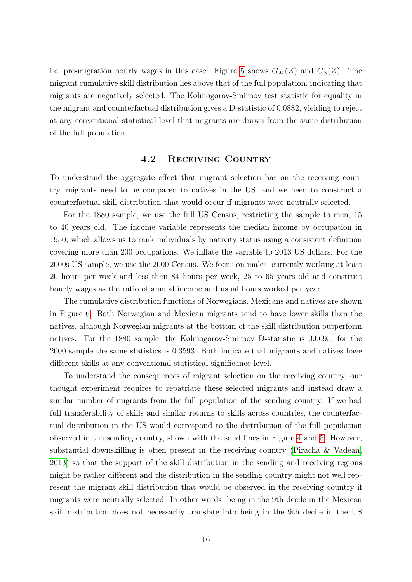i.e. pre-migration hourly wages in this case. Figure [5](#page-16-0) shows  $G_M(Z)$  and  $G_S(Z)$ . The migrant cumulative skill distribution lies above that of the full population, indicating that migrants are negatively selected. The Kolmogorov-Smirnov test statistic for equality in the migrant and counterfactual distribution gives a D-statistic of 0.0882, yielding to reject at any conventional statistical level that migrants are drawn from the same distribution of the full population.

#### 4.2 Receiving Country

To understand the aggregate effect that migrant selection has on the receiving country, migrants need to be compared to natives in the US, and we need to construct a counterfactual skill distribution that would occur if migrants were neutrally selected.

For the 1880 sample, we use the full US Census, restricting the sample to men, 15 to 40 years old. The income variable represents the median income by occupation in 1950, which allows us to rank individuals by nativity status using a consistent definition covering more than 200 occupations. We inflate the variable to 2013 US dollars. For the 2000s US sample, we use the 2000 Census. We focus on males, currently working at least 20 hours per week and less than 84 hours per week, 25 to 65 years old and construct hourly wages as the ratio of annual income and usual hours worked per year.

The cumulative distribution functions of Norwegians, Mexicans and natives are shown in Figure [6.](#page-18-0) Both Norwegian and Mexican migrants tend to have lower skills than the natives, although Norwegian migrants at the bottom of the skill distribution outperform natives. For the 1880 sample, the Kolmogorov-Smirnov D-statistic is 0.0695, for the 2000 sample the same statistics is 0.3593. Both indicate that migrants and natives have different skills at any conventional statistical significance level.

To understand the consequences of migrant selection on the receiving country, our thought experiment requires to repatriate these selected migrants and instead draw a similar number of migrants from the full population of the sending country. If we had full transferability of skills and similar returns to skills across countries, the counterfactual distribution in the US would correspond to the distribution of the full population observed in the sending country, shown with the solid lines in Figure [4](#page-15-0) and [5.](#page-16-0) However, substantial downskilling is often present in the receiving country [\(Piracha & Vadean,](#page-32-11) [2013\)](#page-32-11) so that the support of the skill distribution in the sending and receiving regions might be rather different and the distribution in the sending country might not well represent the migrant skill distribution that would be observed in the receiving country if migrants were neutrally selected. In other words, being in the 9th decile in the Mexican skill distribution does not necessarily translate into being in the 9th decile in the US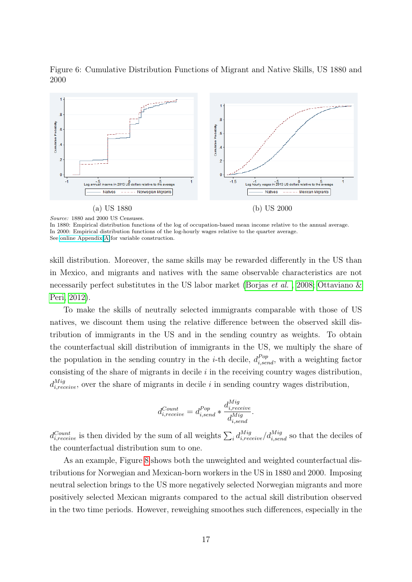<span id="page-18-0"></span>Figure 6: Cumulative Distribution Functions of Migrant and Native Skills, US 1880 and 2000



Source: 1880 and 2000 US Censuses.

In 1880: Empirical distribution functions of the log of occupation-based mean income relative to the annual average. In 2000: Empirical distribution functions of the log-hourly wages relative to the quarter average. See [online Appendix](https://www.dropbox.com/s/beoamb7jzc5p31t/appendix.pdf) A for variable construction.

skill distribution. Moreover, the same skills may be rewarded differently in the US than in Mexico, and migrants and natives with the same observable characteristics are not necessarily perfect substitutes in the US labor market [\(Borjas](#page-30-10) et al., [2008;](#page-30-10) Ottaviano  $\&$ [Peri, 2012\)](#page-32-12).

To make the skills of neutrally selected immigrants comparable with those of US natives, we discount them using the relative difference between the observed skill distribution of immigrants in the US and in the sending country as weights. To obtain the counterfactual skill distribution of immigrants in the US, we multiply the share of the population in the sending country in the *i*-th decile,  $d_{i,send}^{Pop}$ , with a weighting factor consisting of the share of migrants in decile  $i$  in the receiving country wages distribution,  $d_{i, receive}^{Mig}$ , over the share of migrants in decile i in sending country wages distribution,

$$
d_{i, receive}^{Count} = d_{i, send}^{Pop} * \frac{d_{i, receive}^{Mig}}{d_{i, send}^{Mig}}.
$$

 $d_{i,receive}^{Count}$  is then divided by the sum of all weights  $\sum_i d_{i, receive}^{Mig}/d_{i, send}^{Mig}$  so that the deciles of the counterfactual distribution sum to one.

As an example, Figure [8](#page-19-0) shows both the unweighted and weighted counterfactual distributions for Norwegian and Mexican-born workers in the US in 1880 and 2000. Imposing neutral selection brings to the US more negatively selected Norwegian migrants and more positively selected Mexican migrants compared to the actual skill distribution observed in the two time periods. However, reweighing smoothes such differences, especially in the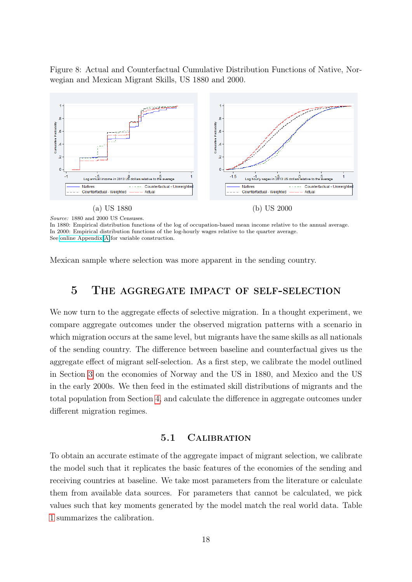<span id="page-19-0"></span>Figure 8: Actual and Counterfactual Cumulative Distribution Functions of Native, Norwegian and Mexican Migrant Skills, US 1880 and 2000.



Source: 1880 and 2000 US Censuses.

In 1880: Empirical distribution functions of the log of occupation-based mean income relative to the annual average. In 2000: Empirical distribution functions of the log-hourly wages relative to the quarter average. See [online Appendix](https://www.dropbox.com/s/beoamb7jzc5p31t/appendix.pdf) A for variable construction.

Mexican sample where selection was more apparent in the sending country.

### 5 The aggregate impact of self-selection

We now turn to the aggregate effects of selective migration. In a thought experiment, we compare aggregate outcomes under the observed migration patterns with a scenario in which migration occurs at the same level, but migrants have the same skills as all nationals of the sending country. The difference between baseline and counterfactual gives us the aggregate effect of migrant self-selection. As a first step, we calibrate the model outlined in Section [3](#page-7-0) on the economies of Norway and the US in 1880, and Mexico and the US in the early 2000s. We then feed in the estimated skill distributions of migrants and the total population from Section [4,](#page-12-1) and calculate the difference in aggregate outcomes under different migration regimes.

#### 5.1 Calibration

<span id="page-19-1"></span>To obtain an accurate estimate of the aggregate impact of migrant selection, we calibrate the model such that it replicates the basic features of the economies of the sending and receiving countries at baseline. We take most parameters from the literature or calculate them from available data sources. For parameters that cannot be calculated, we pick values such that key moments generated by the model match the real world data. Table [1](#page-20-0) summarizes the calibration.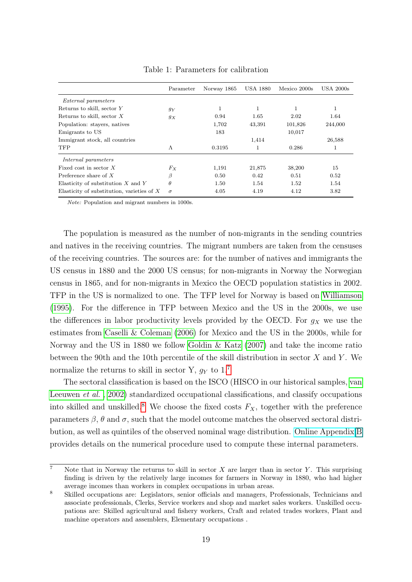<span id="page-20-0"></span>

|                                              | Parameter | Norway 1865 | <b>USA 1880</b> | Mexico 2000s | <b>USA 2000s</b> |
|----------------------------------------------|-----------|-------------|-----------------|--------------|------------------|
| <i>External parameters</i>                   |           |             |                 |              |                  |
| Returns to skill, sector Y                   | $g_Y$     |             | $\mathbf 1$     | 1            | 1                |
| Returns to skill, sector $X$                 | $g_X$     | 0.94        | 1.65            | 2.02         | 1.64             |
| Population: stayers, natives                 |           | 1,702       | 43,391          | 101,826      | 244,000          |
| Emigrants to US                              |           | 183         |                 | 10,017       |                  |
| Immigrant stock, all countries               |           |             | 1,414           |              | 26,588           |
| <b>TFP</b>                                   | Λ         | 0.3195      | 1               | 0.286        | 1                |
| Internal parameters                          |           |             |                 |              |                  |
| Fixed cost in sector $X$                     | $F_X$     | 1,191       | 21,875          | 38,200       | 15               |
| Preference share of $X$                      | β         | 0.50        | 0.42            | 0.51         | 0.52             |
| Elasticity of substitution $X$ and $Y$       | $\theta$  | 1.50        | 1.54            | 1.52         | 1.54             |
| Elasticity of substitution, varieties of $X$ | $\sigma$  | 4.05        | 4.19            | 4.12         | 3.82             |

Table 1: Parameters for calibration

Note: Population and migrant numbers in 1000s.

The population is measured as the number of non-migrants in the sending countries and natives in the receiving countries. The migrant numbers are taken from the censuses of the receiving countries. The sources are: for the number of natives and immigrants the US census in 1880 and the 2000 US census; for non-migrants in Norway the Norwegian census in 1865, and for non-migrants in Mexico the OECD population statistics in 2002. TFP in the US is normalized to one. The TFP level for Norway is based on [Williamson](#page-33-3) [\(1995\)](#page-33-3). For the difference in TFP between Mexico and the US in the 2000s, we use the differences in labor productivity levels provided by the OECD. For  $g_X$  we use the estimates from [Caselli & Coleman](#page-30-11) [\(2006\)](#page-30-11) for Mexico and the US in the 2000s, while for Norway and the US in 1880 we follow [Goldin & Katz](#page-31-10) [\(2007\)](#page-31-10) and take the income ratio between the 90th and the 10th percentile of the skill distribution in sector  $X$  and  $Y$ . We normalize the returns to skill in sector Y,  $g_Y$  to 1.<sup>[7](#page-20-1)</sup>

The sectoral classification is based on the ISCO (HISCO in our historical samples, [van](#page-33-4) [Leeuwen](#page-33-4) *et al.*, [2002\)](#page-33-4) standardized occupational classifications, and classify occupations into skilled and unskilled.<sup>[8](#page-20-2)</sup> We choose the fixed costs  $F_X$ , together with the preference parameters  $\beta$ ,  $\theta$  and  $\sigma$ , such that the model outcome matches the observed sectoral distribution, as well as quintiles of the observed nominal wage distribution. [Online Appendix](https://www.dropbox.com/s/beoamb7jzc5p31t/appendix.pdf) B provides details on the numerical procedure used to compute these internal parameters.

<span id="page-20-1"></span> $\overline{7}$  Note that in Norway the returns to skill in sector X are larger than in sector Y. This surprising finding is driven by the relatively large incomes for farmers in Norway in 1880, who had higher average incomes than workers in complex occupations in urban areas.

<span id="page-20-2"></span><sup>8</sup> Skilled occupations are: Legislators, senior officials and managers, Professionals, Technicians and associate professionals, Clerks, Service workers and shop and market sales workers. Unskilled occupations are: Skilled agricultural and fishery workers, Craft and related trades workers, Plant and machine operators and assemblers, Elementary occupations .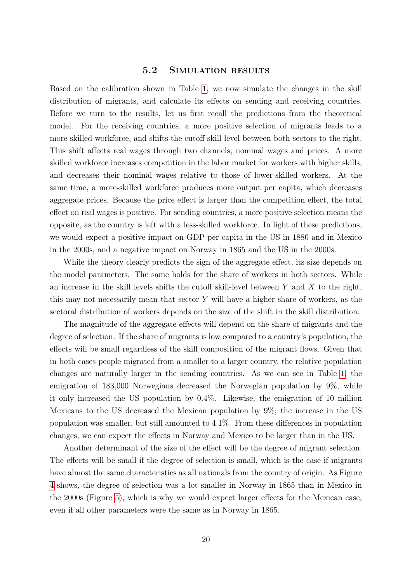#### 5.2 Simulation results

<span id="page-21-0"></span>Based on the calibration shown in Table [1,](#page-20-0) we now simulate the changes in the skill distribution of migrants, and calculate its effects on sending and receiving countries. Before we turn to the results, let us first recall the predictions from the theoretical model. For the receiving countries, a more positive selection of migrants leads to a more skilled workforce, and shifts the cutoff skill-level between both sectors to the right. This shift affects real wages through two channels, nominal wages and prices. A more skilled workforce increases competition in the labor market for workers with higher skills, and decreases their nominal wages relative to those of lower-skilled workers. At the same time, a more-skilled workforce produces more output per capita, which decreases aggregate prices. Because the price effect is larger than the competition effect, the total effect on real wages is positive. For sending countries, a more positive selection means the opposite, as the country is left with a less-skilled workforce. In light of these predictions, we would expect a positive impact on GDP per capita in the US in 1880 and in Mexico in the 2000s, and a negative impact on Norway in 1865 and the US in the 2000s.

While the theory clearly predicts the sign of the aggregate effect, its size depends on the model parameters. The same holds for the share of workers in both sectors. While an increase in the skill levels shifts the cutoff skill-level between  $Y$  and  $X$  to the right, this may not necessarily mean that sector Y will have a higher share of workers, as the sectoral distribution of workers depends on the size of the shift in the skill distribution.

The magnitude of the aggregate effects will depend on the share of migrants and the degree of selection. If the share of migrants is low compared to a country's population, the effects will be small regardless of the skill composition of the migrant flows. Given that in both cases people migrated from a smaller to a larger country, the relative population changes are naturally larger in the sending countries. As we can see in Table [1,](#page-20-0) the emigration of 183,000 Norwegians decreased the Norwegian population by 9%, while it only increased the US population by 0.4%. Likewise, the emigration of 10 million Mexicans to the US decreased the Mexican population by 9%; the increase in the US population was smaller, but still amounted to 4.1%. From these differences in population changes, we can expect the effects in Norway and Mexico to be larger than in the US.

Another determinant of the size of the effect will be the degree of migrant selection. The effects will be small if the degree of selection is small, which is the case if migrants have almost the same characteristics as all nationals from the country of origin. As Figure [4](#page-15-0) shows, the degree of selection was a lot smaller in Norway in 1865 than in Mexico in the 2000s (Figure [5\)](#page-16-0), which is why we would expect larger effects for the Mexican case, even if all other parameters were the same as in Norway in 1865.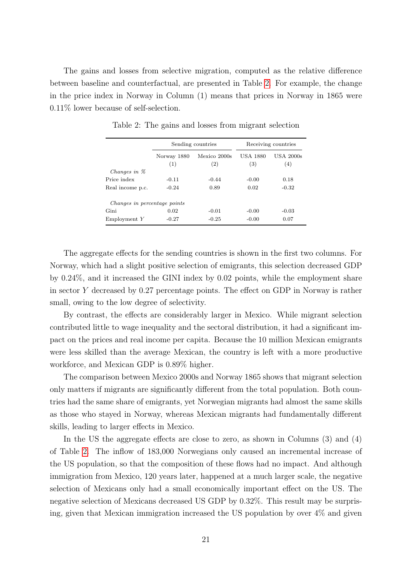<span id="page-22-0"></span>The gains and losses from selective migration, computed as the relative difference between baseline and counterfactual, are presented in Table [2.](#page-22-0) For example, the change in the price index in Norway in Column (1) means that prices in Norway in 1865 were 0.11% lower because of self-selection.

|                              |                    | Sending countries   | Receiving countries    |                  |  |
|------------------------------|--------------------|---------------------|------------------------|------------------|--|
|                              | Norway 1880<br>(1) | Mexico 2000s<br>(2) | <b>USA 1880</b><br>(3) | USA 2000s<br>(4) |  |
| Changes in $\%$              |                    |                     |                        |                  |  |
| Price index                  | $-0.11$            | $-0.44$             | $-0.00$                | 0.18             |  |
| Real income p.c.             | $-0.24$            | 0.89                | 0.02                   | $-0.32$          |  |
| Changes in percentage points |                    |                     |                        |                  |  |
| Gini                         | 0.02               | $-0.01$             | $-0.00$                | $-0.03$          |  |
| Employment Y                 | $-0.27$            | $-0.25$             | $-0.00$                | 0.07             |  |

Table 2: The gains and losses from migrant selection

The aggregate effects for the sending countries is shown in the first two columns. For Norway, which had a slight positive selection of emigrants, this selection decreased GDP by 0.24%, and it increased the GINI index by 0.02 points, while the employment share in sector Y decreased by 0.27 percentage points. The effect on GDP in Norway is rather small, owing to the low degree of selectivity.

By contrast, the effects are considerably larger in Mexico. While migrant selection contributed little to wage inequality and the sectoral distribution, it had a significant impact on the prices and real income per capita. Because the 10 million Mexican emigrants were less skilled than the average Mexican, the country is left with a more productive workforce, and Mexican GDP is 0.89% higher.

The comparison between Mexico 2000s and Norway 1865 shows that migrant selection only matters if migrants are significantly different from the total population. Both countries had the same share of emigrants, yet Norwegian migrants had almost the same skills as those who stayed in Norway, whereas Mexican migrants had fundamentally different skills, leading to larger effects in Mexico.

In the US the aggregate effects are close to zero, as shown in Columns (3) and (4) of Table [2.](#page-22-0) The inflow of 183,000 Norwegians only caused an incremental increase of the US population, so that the composition of these flows had no impact. And although immigration from Mexico, 120 years later, happened at a much larger scale, the negative selection of Mexicans only had a small economically important effect on the US. The negative selection of Mexicans decreased US GDP by 0.32%. This result may be surprising, given that Mexican immigration increased the US population by over 4% and given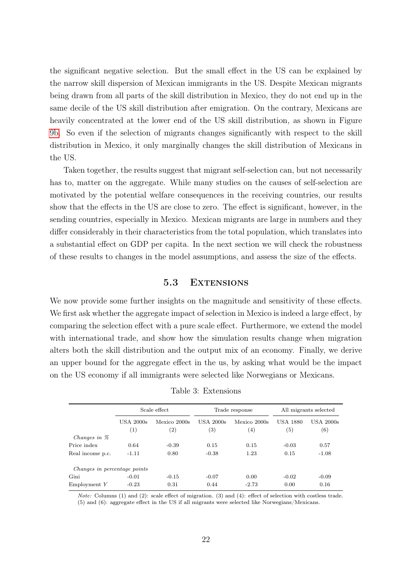the significant negative selection. But the small effect in the US can be explained by the narrow skill dispersion of Mexican immigrants in the US. Despite Mexican migrants being drawn from all parts of the skill distribution in Mexico, they do not end up in the same decile of the US skill distribution after emigration. On the contrary, Mexicans are heavily concentrated at the lower end of the US skill distribution, as shown in Figure [9b.](#page-19-0) So even if the selection of migrants changes significantly with respect to the skill distribution in Mexico, it only marginally changes the skill distribution of Mexicans in the US.

Taken together, the results suggest that migrant self-selection can, but not necessarily has to, matter on the aggregate. While many studies on the causes of self-selection are motivated by the potential welfare consequences in the receiving countries, our results show that the effects in the US are close to zero. The effect is significant, however, in the sending countries, especially in Mexico. Mexican migrants are large in numbers and they differ considerably in their characteristics from the total population, which translates into a substantial effect on GDP per capita. In the next section we will check the robustness of these results to changes in the model assumptions, and assess the size of the effects.

#### 5.3 Extensions

We now provide some further insights on the magnitude and sensitivity of these effects. We first ask whether the aggregate impact of selection in Mexico is indeed a large effect, by comparing the selection effect with a pure scale effect. Furthermore, we extend the model with international trade, and show how the simulation results change when migration alters both the skill distribution and the output mix of an economy. Finally, we derive an upper bound for the aggregate effect in the us, by asking what would be the impact on the US economy if all immigrants were selected like Norwegians or Mexicans.

<span id="page-23-0"></span>

|                              | Scale effect                   |                     | Trade response                     |                                   | All migrants selected               |                                  |
|------------------------------|--------------------------------|---------------------|------------------------------------|-----------------------------------|-------------------------------------|----------------------------------|
|                              | USA 2000s<br>$\left( 1\right)$ | Mexico 2000s<br>(2) | $USA$ $2000s$<br>$\left( 3\right)$ | Mexico 2000s<br>$\left( 4\right)$ | <b>USA 1880</b><br>$\left(5\right)$ | <b>USA 2000s</b><br>$^{\rm (6)}$ |
| Changes in $\%$              |                                |                     |                                    |                                   |                                     |                                  |
| Price index                  | 0.64                           | $-0.39$             | 0.15                               | 0.15                              | $-0.03$                             | 0.57                             |
| Real income p.c.             | $-1.11$                        | 0.80                | $-0.38$                            | 1.23                              | 0.15                                | $-1.08$                          |
| Changes in percentage points |                                |                     |                                    |                                   |                                     |                                  |
| Gini                         | $-0.01$                        | $-0.15$             | $-0.07$                            | 0.00                              | $-0.02$                             | $-0.09$                          |
| Emplovement Y                | $-0.23$                        | 0.31                | 0.44                               | $-2.73$                           | 0.00                                | 0.16                             |

Table 3: Extensions

Note: Columns (1) and (2): scale effect of migration. (3) and (4): effect of selection with costless trade. (5) and (6): aggregate effect in the US if all migrants were selected like Norwegians/Mexicans.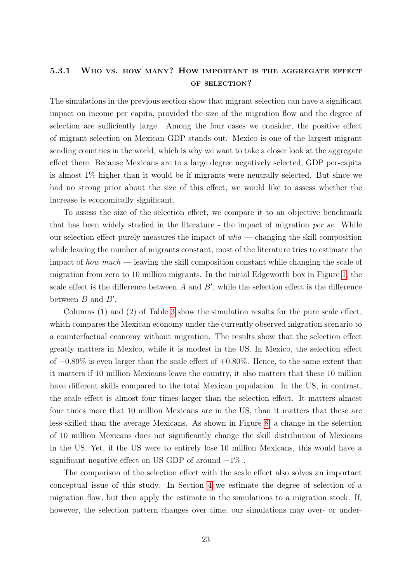### 5.3.1 Who vs. how many? How important is the aggregate effect of selection?

The simulations in the previous section show that migrant selection can have a significant impact on income per capita, provided the size of the migration flow and the degree of selection are sufficiently large. Among the four cases we consider, the positive effect of migrant selection on Mexican GDP stands out. Mexico is one of the largest migrant sending countries in the world, which is why we want to take a closer look at the aggregate effect there. Because Mexicans are to a large degree negatively selected, GDP per-capita is almost 1% higher than it would be if migrants were neutrally selected. But since we had no strong prior about the size of this effect, we would like to assess whether the increase is economically significant.

To assess the size of the selection effect, we compare it to an objective benchmark that has been widely studied in the literature - the impact of migration per se. While our selection effect purely measures the impact of  $who - changing$  the skill composition while leaving the number of migrants constant, most of the literature tries to estimate the impact of how much — leaving the skill composition constant while changing the scale of migration from zero to 10 million migrants. In the initial Edgeworth box in Figure [1,](#page-8-0) the scale effect is the difference between  $A$  and  $B'$ , while the selection effect is the difference between  $B$  and  $B'$ .

Columns (1) and (2) of Table [3](#page-23-0) show the simulation results for the pure scale effect, which compares the Mexican economy under the currently observed migration scenario to a counterfactual economy without migration. The results show that the selection effect greatly matters in Mexico, while it is modest in the US. In Mexico, the selection effect of  $+0.89\%$  is even larger than the scale effect of  $+0.80\%$ . Hence, to the same extent that it matters if 10 million Mexicans leave the country, it also matters that these 10 million have different skills compared to the total Mexican population. In the US, in contrast, the scale effect is almost four times larger than the selection effect. It matters almost four times more that 10 million Mexicans are in the US, than it matters that these are less-skilled than the average Mexicans. As shown in Figure [8,](#page-19-0) a change in the selection of 10 million Mexicans does not significantly change the skill distribution of Mexicans in the US. Yet, if the US were to entirely lose 10 million Mexicans, this would have a significant negative effect on US GDP of around  $-1\%$ .

The comparison of the selection effect with the scale effect also solves an important conceptual issue of this study. In Section [4](#page-12-1) we estimate the degree of selection of a migration flow, but then apply the estimate in the simulations to a migration stock. If, however, the selection pattern changes over time, our simulations may over- or under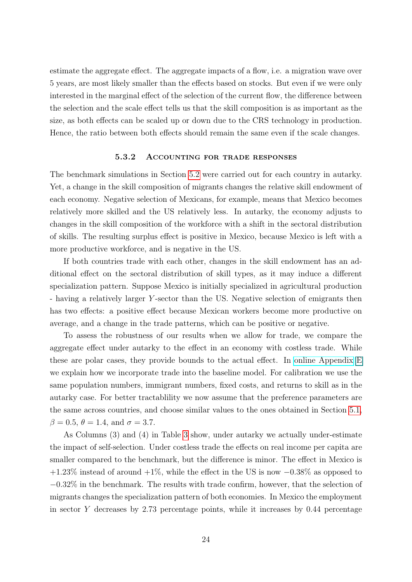estimate the aggregate effect. The aggregate impacts of a flow, i.e. a migration wave over 5 years, are most likely smaller than the effects based on stocks. But even if we were only interested in the marginal effect of the selection of the current flow, the difference between the selection and the scale effect tells us that the skill composition is as important as the size, as both effects can be scaled up or down due to the CRS technology in production. Hence, the ratio between both effects should remain the same even if the scale changes.

#### 5.3.2 Accounting for trade responses

<span id="page-25-0"></span>The benchmark simulations in Section [5.2](#page-21-0) were carried out for each country in autarky. Yet, a change in the skill composition of migrants changes the relative skill endowment of each economy. Negative selection of Mexicans, for example, means that Mexico becomes relatively more skilled and the US relatively less. In autarky, the economy adjusts to changes in the skill composition of the workforce with a shift in the sectoral distribution of skills. The resulting surplus effect is positive in Mexico, because Mexico is left with a more productive workforce, and is negative in the US.

If both countries trade with each other, changes in the skill endowment has an additional effect on the sectoral distribution of skill types, as it may induce a different specialization pattern. Suppose Mexico is initially specialized in agricultural production - having a relatively larger Y -sector than the US. Negative selection of emigrants then has two effects: a positive effect because Mexican workers become more productive on average, and a change in the trade patterns, which can be positive or negative.

To assess the robustness of our results when we allow for trade, we compare the aggregate effect under autarky to the effect in an economy with costless trade. While these are polar cases, they provide bounds to the actual effect. In [online Appendix](https://www.dropbox.com/s/beoamb7jzc5p31t/appendix.pdf) E we explain how we incorporate trade into the baseline model. For calibration we use the same population numbers, immigrant numbers, fixed costs, and returns to skill as in the autarky case. For better tractablility we now assume that the preference parameters are the same across countries, and choose similar values to the ones obtained in Section [5.1,](#page-19-1)  $β = 0.5, θ = 1.4, and σ = 3.7.$ 

As Columns (3) and (4) in Table [3](#page-23-0) show, under autarky we actually under-estimate the impact of self-selection. Under costless trade the effects on real income per capita are smaller compared to the benchmark, but the difference is minor. The effect in Mexico is  $+1.23\%$  instead of around  $+1\%$ , while the effect in the US is now  $-0.38\%$  as opposed to −0.32% in the benchmark. The results with trade confirm, however, that the selection of migrants changes the specialization pattern of both economies. In Mexico the employment in sector Y decreases by  $2.73$  percentage points, while it increases by  $0.44$  percentage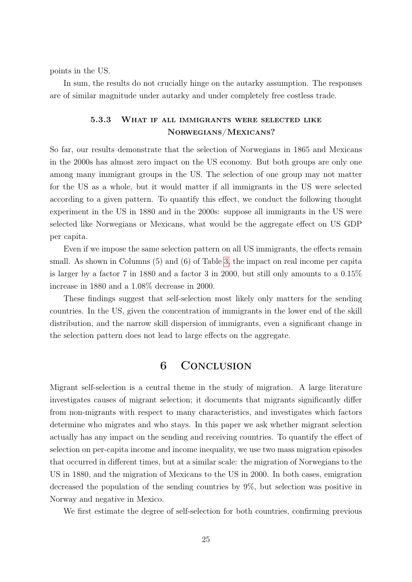points in the US.

In sum, the results do not crucially hinge on the autarky assumption. The responses are of similar magnitude under autarky and under completely free costless trade.

### 5.3.3 What if all immigrants were selected like Norwegians/Mexicans?

So far, our results demonstrate that the selection of Norwegians in 1865 and Mexicans in the 2000s has almost zero impact on the US economy. But both groups are only one among many immigrant groups in the US. The selection of one group may not matter for the US as a whole, but it would matter if all immigrants in the US were selected according to a given pattern. To quantify this effect, we conduct the following thought experiment in the US in 1880 and in the 2000s: suppose all immigrants in the US were selected like Norwegians or Mexicans, what would be the aggregate effect on US GDP per capita.

Even if we impose the same selection pattern on all US immigrants, the effects remain small. As shown in Columns (5) and (6) of Table [3,](#page-23-0) the impact on real income per capita is larger by a factor 7 in 1880 and a factor 3 in 2000, but still only amounts to a 0.15% increase in 1880 and a 1.08% decrease in 2000.

These findings suggest that self-selection most likely only matters for the sending countries. In the US, given the concentration of immigrants in the lower end of the skill distribution, and the narrow skill dispersion of immigrants, even a significant change in the selection pattern does not lead to large effects on the aggregate.

### 6 Conclusion

Migrant self-selection is a central theme in the study of migration. A large literature investigates causes of migrant selection; it documents that migrants significantly differ from non-migrants with respect to many characteristics, and investigates which factors determine who migrates and who stays. In this paper we ask whether migrant selection actually has any impact on the sending and receiving countries. To quantify the effect of selection on per-capita income and income inequality, we use two mass migration episodes that occurred in different times, but at a similar scale: the migration of Norwegians to the US in 1880, and the migration of Mexicans to the US in 2000. In both cases, emigration decreased the population of the sending countries by 9%, but selection was positive in Norway and negative in Mexico.

We first estimate the degree of self-selection for both countries, confirming previous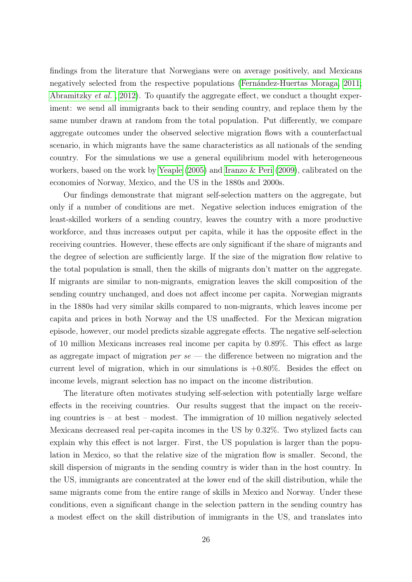findings from the literature that Norwegians were on average positively, and Mexicans negatively selected from the respective populations [\(Fernández-Huertas Moraga, 2011;](#page-31-1) [Abramitzky](#page-29-0) et al. , [2012\)](#page-29-0). To quantify the aggregate effect, we conduct a thought experiment: we send all immigrants back to their sending country, and replace them by the same number drawn at random from the total population. Put differently, we compare aggregate outcomes under the observed selective migration flows with a counterfactual scenario, in which migrants have the same characteristics as all nationals of the sending country. For the simulations we use a general equilibrium model with heterogeneous workers, based on the work by [Yeaple](#page-33-0) [\(2005\)](#page-33-0) and [Iranzo & Peri](#page-31-0) [\(2009\)](#page-31-0), calibrated on the economies of Norway, Mexico, and the US in the 1880s and 2000s.

Our findings demonstrate that migrant self-selection matters on the aggregate, but only if a number of conditions are met. Negative selection induces emigration of the least-skilled workers of a sending country, leaves the country with a more productive workforce, and thus increases output per capita, while it has the opposite effect in the receiving countries. However, these effects are only significant if the share of migrants and the degree of selection are sufficiently large. If the size of the migration flow relative to the total population is small, then the skills of migrants don't matter on the aggregate. If migrants are similar to non-migrants, emigration leaves the skill composition of the sending country unchanged, and does not affect income per capita. Norwegian migrants in the 1880s had very similar skills compared to non-migrants, which leaves income per capita and prices in both Norway and the US unaffected. For the Mexican migration episode, however, our model predicts sizable aggregate effects. The negative self-selection of 10 million Mexicans increases real income per capita by 0.89%. This effect as large as aggregate impact of migration *per se* — the difference between no migration and the current level of migration, which in our simulations is  $+0.80\%$ . Besides the effect on income levels, migrant selection has no impact on the income distribution.

The literature often motivates studying self-selection with potentially large welfare effects in the receiving countries. Our results suggest that the impact on the receiving countries is – at best – modest. The immigration of 10 million negatively selected Mexicans decreased real per-capita incomes in the US by 0.32%. Two stylized facts can explain why this effect is not larger. First, the US population is larger than the population in Mexico, so that the relative size of the migration flow is smaller. Second, the skill dispersion of migrants in the sending country is wider than in the host country. In the US, immigrants are concentrated at the lower end of the skill distribution, while the same migrants come from the entire range of skills in Mexico and Norway. Under these conditions, even a significant change in the selection pattern in the sending country has a modest effect on the skill distribution of immigrants in the US, and translates into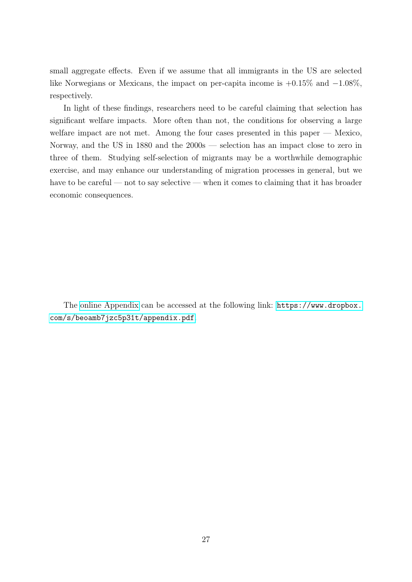small aggregate effects. Even if we assume that all immigrants in the US are selected like Norwegians or Mexicans, the impact on per-capita income is +0.15% and −1.08%, respectively.

In light of these findings, researchers need to be careful claiming that selection has significant welfare impacts. More often than not, the conditions for observing a large welfare impact are not met. Among the four cases presented in this paper — Mexico, Norway, and the US in 1880 and the 2000s — selection has an impact close to zero in three of them. Studying self-selection of migrants may be a worthwhile demographic exercise, and may enhance our understanding of migration processes in general, but we have to be careful — not to say selective — when it comes to claiming that it has broader economic consequences.

The [online Appendix](https://www.dropbox.com/s/beoamb7jzc5p31t/appendix.pdf) can be accessed at the following link: [https://www.dropbox.](https://www.dropbox.com/s/beoamb7jzc5p31t/appendix.pdf) [com/s/beoamb7jzc5p31t/appendix.pdf](https://www.dropbox.com/s/beoamb7jzc5p31t/appendix.pdf).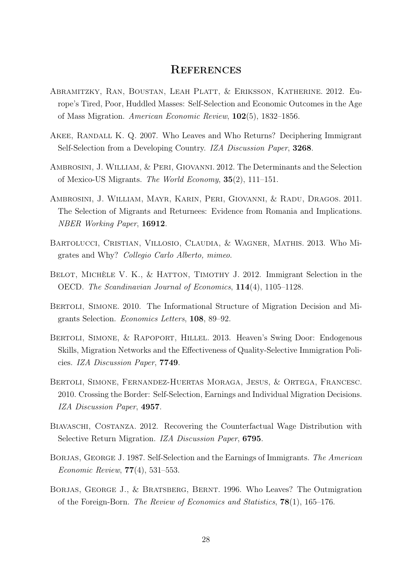## **REFERENCES**

- <span id="page-29-0"></span>Abramitzky, Ran, Boustan, Leah Platt, & Eriksson, Katherine. 2012. Europe's Tired, Poor, Huddled Masses: Self-Selection and Economic Outcomes in the Age of Mass Migration. American Economic Review, 102(5), 1832–1856.
- <span id="page-29-7"></span>Akee, Randall K. Q. 2007. Who Leaves and Who Returns? Deciphering Immigrant Self-Selection from a Developing Country. IZA Discussion Paper, 3268.
- <span id="page-29-1"></span>Ambrosini, J. William, & Peri, Giovanni. 2012. The Determinants and the Selection of Mexico-US Migrants. The World Economy, 35(2), 111–151.
- <span id="page-29-8"></span>Ambrosini, J. William, Mayr, Karin, Peri, Giovanni, & Radu, Dragos. 2011. The Selection of Migrants and Returnees: Evidence from Romania and Implications. NBER Working Paper, 16912.
- <span id="page-29-10"></span>Bartolucci, Cristian, Villosio, Claudia, & Wagner, Mathis. 2013. Who Migrates and Why? Collegio Carlo Alberto, mimeo.
- <span id="page-29-5"></span>BELOT, MICHÈLE V. K., & HATTON, TIMOTHY J. 2012. Immigrant Selection in the OECD. The Scandinavian Journal of Economics, 114(4), 1105–1128.
- <span id="page-29-3"></span>Bertoli, Simone. 2010. The Informational Structure of Migration Decision and Migrants Selection. Economics Letters, 108, 89–92.
- <span id="page-29-4"></span>BERTOLI, SIMONE, & RAPOPORT, HILLEL. 2013. Heaven's Swing Door: Endogenous Skills, Migration Networks and the Effectiveness of Quality-Selective Immigration Policies. IZA Discussion Paper, 7749.
- <span id="page-29-9"></span>Bertoli, Simone, Fernandez-Huertas Moraga, Jesus, & Ortega, Francesc. 2010. Crossing the Border: Self-Selection, Earnings and Individual Migration Decisions. IZA Discussion Paper, 4957.
- <span id="page-29-11"></span>BIAVASCHI, COSTANZA. 2012. Recovering the Counterfactual Wage Distribution with Selective Return Migration. IZA Discussion Paper, 6795.
- <span id="page-29-6"></span>BORJAS, GEORGE J. 1987. Self-Selection and the Earnings of Immigrants. The American Economic Review, 77(4), 531–553.
- <span id="page-29-2"></span>Borjas, George J., & Bratsberg, Bernt. 1996. Who Leaves? The Outmigration of the Foreign-Born. The Review of Economics and Statistics, 78(1), 165–176.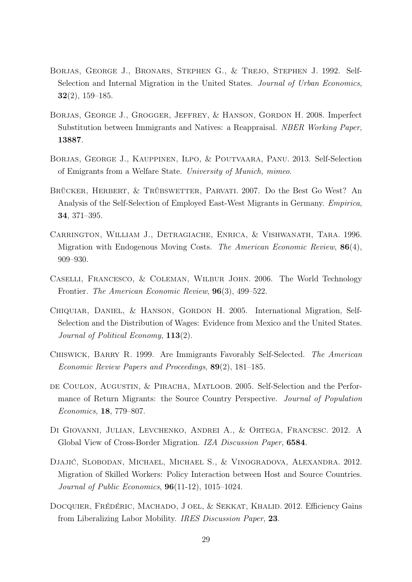- <span id="page-30-8"></span>BORJAS, GEORGE J., BRONARS, STEPHEN G., & TREJO, STEPHEN J. 1992. Self-Selection and Internal Migration in the United States. Journal of Urban Economics, 32(2), 159–185.
- <span id="page-30-10"></span>Borjas, George J., Grogger, Jeffrey, & Hanson, Gordon H. 2008. Imperfect Substitution between Immigrants and Natives: a Reappraisal. NBER Working Paper, 13887.
- <span id="page-30-7"></span>Borjas, George J., Kauppinen, Ilpo, & Poutvaara, Panu. 2013. Self-Selection of Emigrants from a Welfare State. University of Munich, mimeo.
- <span id="page-30-9"></span>Brücker, Herbert, & Trübswetter, Parvati. 2007. Do the Best Go West? An Analysis of the Self-Selection of Employed East-West Migrants in Germany. Empirica, 34, 371–395.
- <span id="page-30-5"></span>Carrington, William J., Detragiache, Enrica, & Vishwanath, Tara. 1996. Migration with Endogenous Moving Costs. The American Economic Review, 86(4), 909–930.
- <span id="page-30-11"></span>Caselli, Francesco, & Coleman, Wilbur John. 2006. The World Technology Frontier. The American Economic Review, 96(3), 499–522.
- <span id="page-30-0"></span>Chiquiar, Daniel, & Hanson, Gordon H. 2005. International Migration, Self-Selection and the Distribution of Wages: Evidence from Mexico and the United States. Journal of Political Economy, 113(2).
- <span id="page-30-4"></span>Chiswick, Barry R. 1999. Are Immigrants Favorably Self-Selected. The American Economic Review Papers and Proceedings, 89(2), 181–185.
- <span id="page-30-6"></span>de Coulon, Augustin, & Piracha, Matloob. 2005. Self-Selection and the Performance of Return Migrants: the Source Country Perspective. Journal of Population Economics, 18, 779–807.
- <span id="page-30-2"></span>Di Giovanni, Julian, Levchenko, Andrei A., & Ortega, Francesc. 2012. A Global View of Cross-Border Migration. IZA Discussion Paper, 6584.
- <span id="page-30-3"></span>Djajić, Slobodan, Michael, Michael S., & Vinogradova, Alexandra. 2012. Migration of Skilled Workers: Policy Interaction between Host and Source Countries. Journal of Public Economics, 96(11-12), 1015–1024.
- <span id="page-30-1"></span>DOCQUIER, FRÉDÉRIC, MACHADO, J OEL, & SEKKAT, KHALID. 2012. Efficiency Gains from Liberalizing Labor Mobility. IRES Discussion Paper, 23.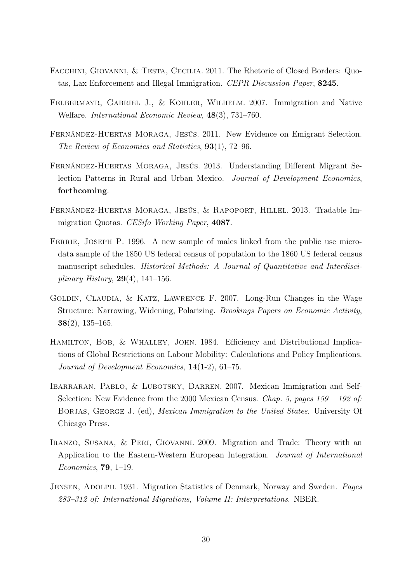- <span id="page-31-6"></span>Facchini, Giovanni, & Testa, Cecilia. 2011. The Rhetoric of Closed Borders: Quotas, Lax Enforcement and Illegal Immigration. CEPR Discussion Paper, 8245.
- <span id="page-31-4"></span>Felbermayr, Gabriel J., & Kohler, Wilhelm. 2007. Immigration and Native Welfare. International Economic Review, 48(3), 731–760.
- <span id="page-31-1"></span>Fernández-Huertas Moraga, Jesús. 2011. New Evidence on Emigrant Selection. The Review of Economics and Statistics, 93(1), 72–96.
- <span id="page-31-2"></span>Fernández-Huertas Moraga, Jesús. 2013. Understanding Different Migrant Selection Patterns in Rural and Urban Mexico. Journal of Development Economics, forthcoming.
- <span id="page-31-5"></span>Fernández-Huertas Moraga, Jesús, & Rapoport, Hillel. 2013. Tradable Immigration Quotas. CESifo Working Paper, 4087.
- <span id="page-31-9"></span>FERRIE, JOSEPH P. 1996. A new sample of males linked from the public use microdata sample of the 1850 US federal census of population to the 1860 US federal census manuscript schedules. Historical Methods: A Journal of Quantitative and Interdisciplinary History,  $29(4)$ , 141–156.
- <span id="page-31-10"></span>Goldin, Claudia, & Katz, Lawrence F. 2007. Long-Run Changes in the Wage Structure: Narrowing, Widening, Polarizing. Brookings Papers on Economic Activity, 38(2), 135–165.
- <span id="page-31-3"></span>Hamilton, Bob, & Whalley, John. 1984. Efficiency and Distributional Implications of Global Restrictions on Labour Mobility: Calculations and Policy Implications. Journal of Development Economics, 14(1-2), 61–75.
- <span id="page-31-7"></span>IBARRARAN, PABLO, & LUBOTSKY, DARREN. 2007. Mexican Immigration and Self-Selection: New Evidence from the 2000 Mexican Census. Chap. 5, pages  $159 - 192$  of: BORJAS, GEORGE J. (ed), *Mexican Immigration to the United States*. University Of Chicago Press.
- <span id="page-31-0"></span>IRANZO, SUSANA, & PERI, GIOVANNI. 2009. Migration and Trade: Theory with an Application to the Eastern-Western European Integration. Journal of International Economics, 79, 1–19.
- <span id="page-31-8"></span>Jensen, Adolph. 1931. Migration Statistics of Denmark, Norway and Sweden. Pages 283–312 of: International Migrations, Volume II: Interpretations. NBER.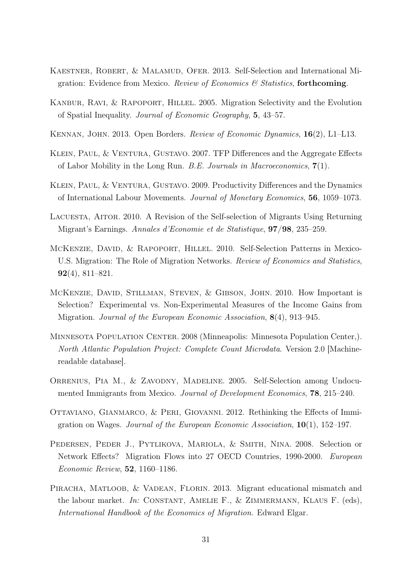- <span id="page-32-0"></span>KAESTNER, ROBERT, & MALAMUD, OFER. 2013. Self-Selection and International Migration: Evidence from Mexico. Review of Economics  $\mathcal C$  Statistics, forthcoming.
- <span id="page-32-4"></span>Kanbur, Ravi, & Rapoport, Hillel. 2005. Migration Selectivity and the Evolution of Spatial Inequality. Journal of Economic Geography, 5, 43–57.
- <span id="page-32-3"></span>Kennan, John. 2013. Open Borders. Review of Economic Dynamics, 16(2), L1–L13.
- <span id="page-32-1"></span>Klein, Paul, & Ventura, Gustavo. 2007. TFP Differences and the Aggregate Effects of Labor Mobility in the Long Run. B.E. Journals in Macroeconomics, 7(1).
- <span id="page-32-2"></span>KLEIN, PAUL, & VENTURA, GUSTAVO. 2009. Productivity Differences and the Dynamics of International Labour Movements. Journal of Monetary Economics, 56, 1059–1073.
- <span id="page-32-6"></span>Lacuesta, Aitor. 2010. A Revision of the Self-selection of Migrants Using Returning Migrant's Earnings. Annales d'Economie et de Statistique, 97/98, 235–259.
- <span id="page-32-8"></span>McKenzie, David, & Rapoport, Hillel. 2010. Self-Selection Patterns in Mexico-U.S. Migration: The Role of Migration Networks. Review of Economics and Statistics,  $92(4)$ , 811–821.
- <span id="page-32-9"></span>McKenzie, David, Stillman, Steven, & Gibson, John. 2010. How Important is Selection? Experimental vs. Non-Experimental Measures of the Income Gains from Migration. Journal of the European Economic Association, 8(4), 913–945.
- <span id="page-32-10"></span>Minnesota Population Center. 2008 (Minneapolis: Minnesota Population Center,). North Atlantic Population Project: Complete Count Microdata. Version 2.0 [Machinereadable database].
- <span id="page-32-7"></span>ORRENIUS, PIA M., & ZAVODNY, MADELINE. 2005. Self-Selection among Undocumented Immigrants from Mexico. Journal of Development Economics, 78, 215–240.
- <span id="page-32-12"></span>Ottaviano, Gianmarco, & Peri, Giovanni. 2012. Rethinking the Effects of Immigration on Wages. Journal of the European Economic Association,  $10(1)$ , 152–197.
- <span id="page-32-5"></span>Pedersen, Peder J., Pytlikova, Mariola, & Smith, Nina. 2008. Selection or Network Effects? Migration Flows into 27 OECD Countries, 1990-2000. European Economic Review, 52, 1160–1186.
- <span id="page-32-11"></span>PIRACHA, MATLOOB, & VADEAN, FLORIN. 2013. Migrant educational mismatch and the labour market. In: CONSTANT, AMELIE F., & ZIMMERMANN, KLAUS F. (eds), International Handbook of the Economics of Migration. Edward Elgar.